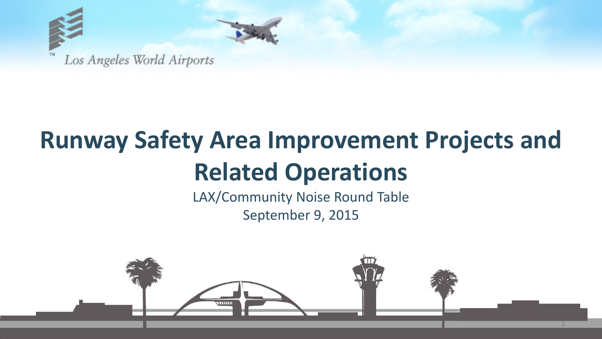

## **Runway Safety Area Improvement Projects and Related Operations**

LAX/Community Noise Round Table September 9, 2015

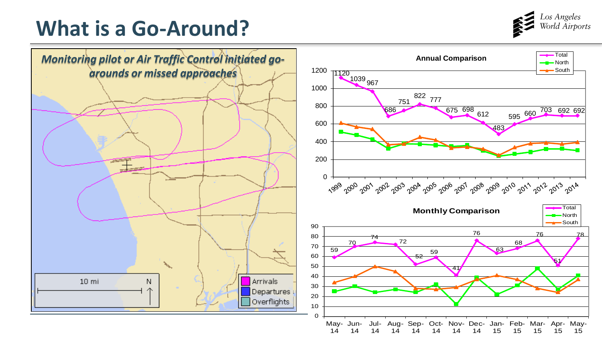

## **What is a Go-Around?**

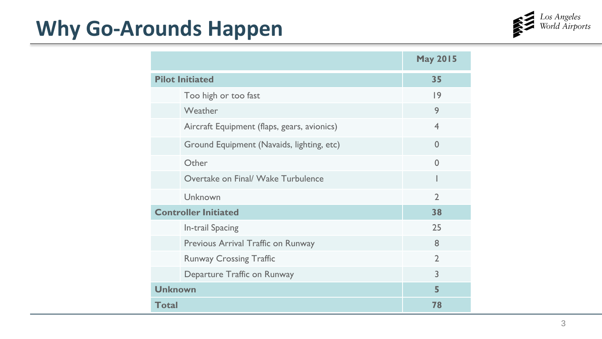## **Why Go-Arounds Happen**



|                                             | <b>May 2015</b> |
|---------------------------------------------|-----------------|
| <b>Pilot Initiated</b>                      | 35              |
| Too high or too fast                        | 9               |
| Weather                                     | 9               |
| Aircraft Equipment (flaps, gears, avionics) | $\overline{4}$  |
| Ground Equipment (Navaids, lighting, etc)   | $\Omega$        |
| Other                                       | $\Omega$        |
| Overtake on Final/ Wake Turbulence          |                 |
| Unknown                                     | $\mathcal{P}$   |
| <b>Controller Initiated</b>                 | 38              |
| In-trail Spacing                            | 25              |
| Previous Arrival Traffic on Runway          | 8               |
| <b>Runway Crossing Traffic</b>              | $\mathcal{D}$   |
| Departure Traffic on Runway                 | 3               |
| <b>Unknown</b>                              | 5               |
| <b>Total</b>                                | 78              |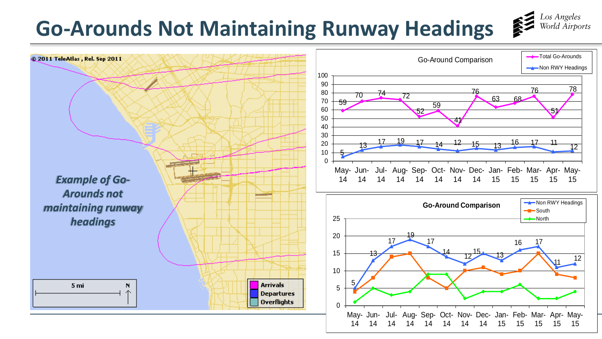## **Go-Arounds Not Maintaining Runway Headings**



Los Angeles<br>World Airports

经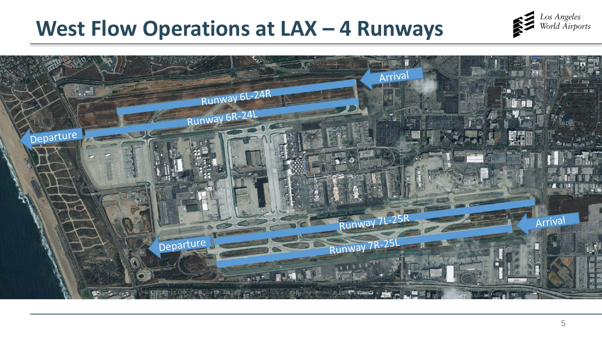## West Flow Operations at LAX - 4 Runways



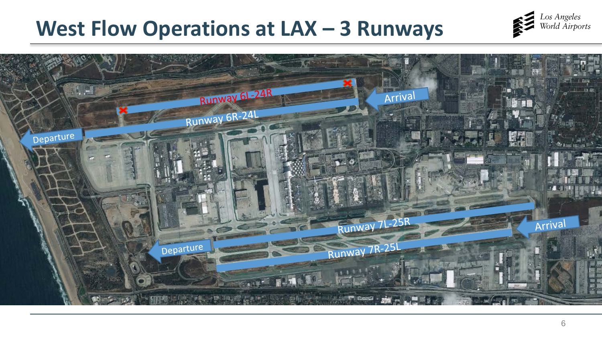## West Flow Operations at LAX - 3 Runways



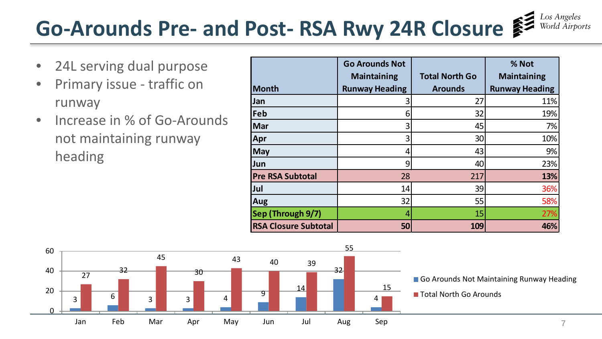# **Go-Arounds Pre- and Post- RSA Rwy 24R Closure**

- 24L serving dual purpose
- Primary issue traffic on runway
- Increase in % of Go-Arounds not maintaining runway heading

|                             | <b>Go Arounds Not</b> |                       | % Not                 |
|-----------------------------|-----------------------|-----------------------|-----------------------|
|                             | <b>Maintaining</b>    | <b>Total North Go</b> | <b>Maintaining</b>    |
| <b>Month</b>                | <b>Runway Heading</b> | <b>Arounds</b>        | <b>Runway Heading</b> |
| Jan                         |                       | 27                    | 11%                   |
| Feb                         | 6                     | 32                    | 19%                   |
| Mar                         | 3                     | 45                    | 7%                    |
| Apr                         |                       | 30                    | 10%                   |
| May                         |                       | 43                    | 9%                    |
| Jun                         | 9                     | 40                    | 23%                   |
| <b>Pre RSA Subtotal</b>     | 28                    | 217                   | 13%                   |
| Jul                         | 14                    | 39                    | 36%                   |
| Aug                         | 32                    | 55                    | 58%                   |
| Sep (Through 9/7)           |                       | 15                    | 27%                   |
| <b>RSA Closure Subtotal</b> | 50                    | 109                   | 46%                   |

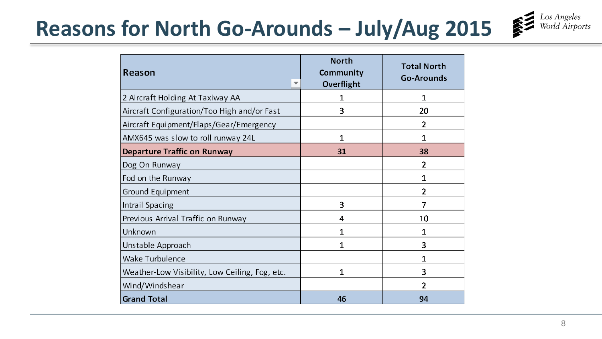# Reasons for North Go-Arounds – July/Aug 2015



| <b>Reason</b>                                  | <b>North</b><br>Community<br>Overflight | <b>Total North</b><br><b>Go-Arounds</b> |
|------------------------------------------------|-----------------------------------------|-----------------------------------------|
| 2 Aircraft Holding At Taxiway AA               | 1                                       | 1                                       |
| Aircraft Configuration/Too High and/or Fast    | 3                                       | 20                                      |
| Aircraft Equipment/Flaps/Gear/Emergency        |                                         | $\overline{2}$                          |
| AMX645 was slow to roll runway 24L             | 1                                       | 1                                       |
| <b>Departure Traffic on Runway</b>             | 31                                      | 38                                      |
| Dog On Runway                                  |                                         | $\overline{2}$                          |
| Fod on the Runway                              |                                         | $\mathbf{1}$                            |
| Ground Equipment                               |                                         | $\overline{2}$                          |
| Intrail Spacing                                | 3                                       | 7                                       |
| Previous Arrival Traffic on Runway             | 4                                       | 10                                      |
| Unknown                                        | 1                                       | 1                                       |
| Unstable Approach                              | 1                                       | 3                                       |
| <b>Wake Turbulence</b>                         |                                         | 1                                       |
| Weather-Low Visibility, Low Ceiling, Fog, etc. | 1                                       | 3                                       |
| Wind/Windshear                                 |                                         | 2                                       |
| <b>Grand Total</b>                             | 46                                      | 94                                      |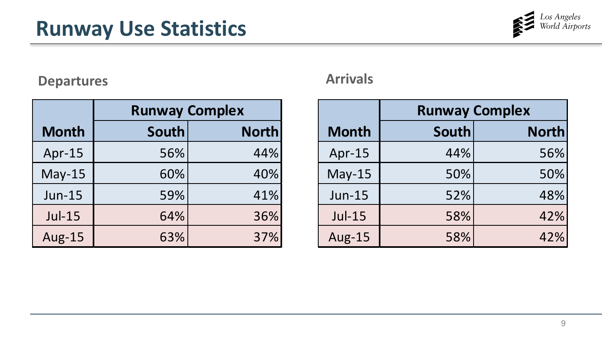

### **Departures Arrivals**

|               | <b>Runway Complex</b> |              |  |
|---------------|-----------------------|--------------|--|
| <b>Month</b>  | <b>South</b>          | <b>North</b> |  |
| Apr-15        | 56%                   | 44%          |  |
| $May-15$      | 60%                   | 40%          |  |
| <b>Jun-15</b> | 59%                   | 41%          |  |
| $Jul-15$      | 64%                   | 36%          |  |
| <b>Aug-15</b> | 63%                   | 37%          |  |

|               | <b>Runway Complex</b> |              |  |
|---------------|-----------------------|--------------|--|
| <b>Month</b>  | South                 | <b>North</b> |  |
| Apr-15        | 44%                   | 56%          |  |
| $May-15$      | 50%                   | 50%          |  |
| $Jun-15$      | 52%                   | 48%          |  |
| $Jul-15$      | 58%                   | 42%          |  |
| <b>Aug-15</b> | 58%                   | 42%          |  |